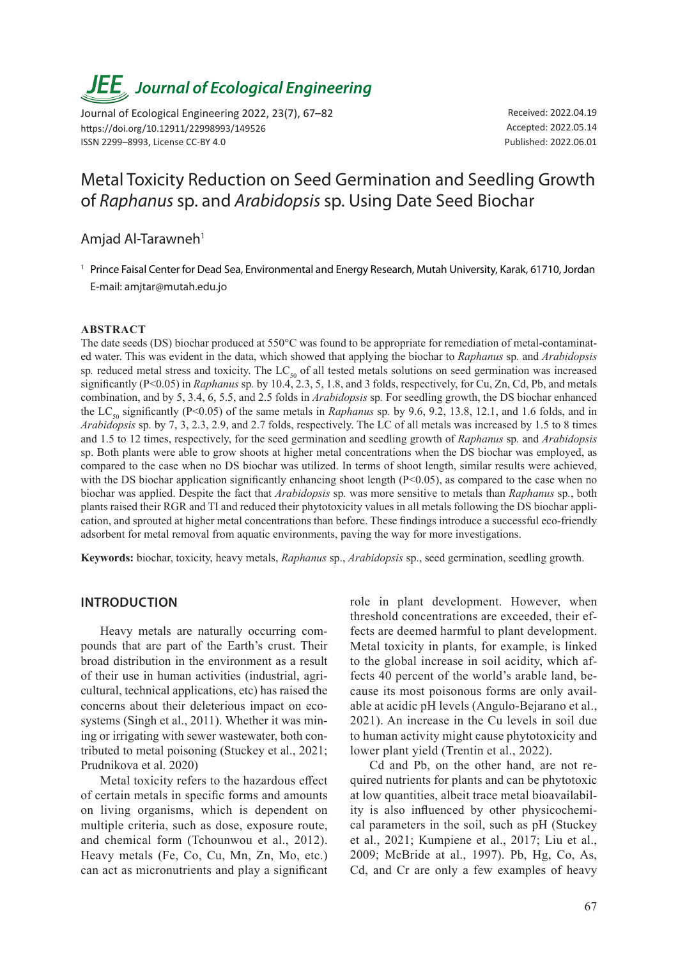# *JEE<sub>,</sub> Journal of Ecological Engineering*

Journal of Ecological Engineering 2022, 23(7), 67–82 https://doi.org/10.12911/22998993/149526 ISSN 2299–8993, License CC-BY 4.0

Received: 2022.04.19 Accepted: 2022.05.14 Published: 2022.06.01

## Metal Toxicity Reduction on Seed Germination and Seedling Growth of *Raphanus* sp. and *Arabidopsis* sp. Using Date Seed Biochar

Amjad Al-Tarawneh<sup>1</sup>

<sup>1</sup> Prince Faisal Center for Dead Sea, Environmental and Energy Research, Mutah University, Karak, 61710, Jordan E-mail: amjtar@mutah.edu.jo

#### **ABSTRACT**

The date seeds (DS) biochar produced at 550°C was found to be appropriate for remediation of metal-contaminated water. This was evident in the data, which showed that applying the biochar to *Raphanus* sp*.* and *Arabidopsis*  sp. reduced metal stress and toxicity. The LC<sub>50</sub> of all tested metals solutions on seed germination was increased significantly (P<0.05) in *Raphanus* sp*.* by 10.4, 2.3, 5, 1.8, and 3 folds, respectively, for Cu, Zn, Cd, Pb, and metals combination, and by 5, 3.4, 6, 5.5, and 2.5 folds in *Arabidopsis* sp*.* For seedling growth, the DS biochar enhanced the LC<sub>50</sub> significantly (P<0.05) of the same metals in *Raphanus* sp. by 9.6, 9.2, 13.8, 12.1, and 1.6 folds, and in *Arabidopsis* sp*.* by 7, 3, 2.3, 2.9, and 2.7 folds, respectively. The LC of all metals was increased by 1.5 to 8 times and 1.5 to 12 times, respectively, for the seed germination and seedling growth of *Raphanus* sp*.* and *Arabidopsis*  sp. Both plants were able to grow shoots at higher metal concentrations when the DS biochar was employed, as compared to the case when no DS biochar was utilized. In terms of shoot length, similar results were achieved, with the DS biochar application significantly enhancing shoot length (P<0.05), as compared to the case when no biochar was applied. Despite the fact that *Arabidopsis* sp*.* was more sensitive to metals than *Raphanus* sp*.*, both plants raised their RGR and TI and reduced their phytotoxicity values in all metals following the DS biochar application, and sprouted at higher metal concentrations than before. These findings introduce a successful eco-friendly adsorbent for metal removal from aquatic environments, paving the way for more investigations.

**Keywords:** biochar, toxicity, heavy metals, *Raphanus* sp., *Arabidopsis* sp., seed germination, seedling growth.

#### **INTRODUCTION**

Heavy metals are naturally occurring compounds that are part of the Earth's crust. Their broad distribution in the environment as a result of their use in human activities (industrial, agricultural, technical applications, etc) has raised the concerns about their deleterious impact on ecosystems (Singh et al., 2011). Whether it was mining or irrigating with sewer wastewater, both contributed to metal poisoning (Stuckey et al., 2021; Prudnikova et al. 2020)

Metal toxicity refers to the hazardous effect of certain metals in specific forms and amounts on living organisms, which is dependent on multiple criteria, such as dose, exposure route, and chemical form (Tchounwou et al., 2012). Heavy metals (Fe, Co, Cu, Mn, Zn, Mo, etc.) can act as micronutrients and play a significant

role in plant development. However, when threshold concentrations are exceeded, their effects are deemed harmful to plant development. Metal toxicity in plants, for example, is linked to the global increase in soil acidity, which affects 40 percent of the world's arable land, because its most poisonous forms are only available at acidic pH levels (Angulo-Bejarano et al., 2021). An increase in the Cu levels in soil due to human activity might cause phytotoxicity and lower plant yield (Trentin et al., 2022).

Cd and Pb, on the other hand, are not required nutrients for plants and can be phytotoxic at low quantities, albeit trace metal bioavailability is also influenced by other physicochemical parameters in the soil, such as pH (Stuckey et al., 2021; Kumpiene et al., 2017; Liu et al., 2009; McBride at al., 1997). Pb, Hg, Co, As, Cd, and Cr are only a few examples of heavy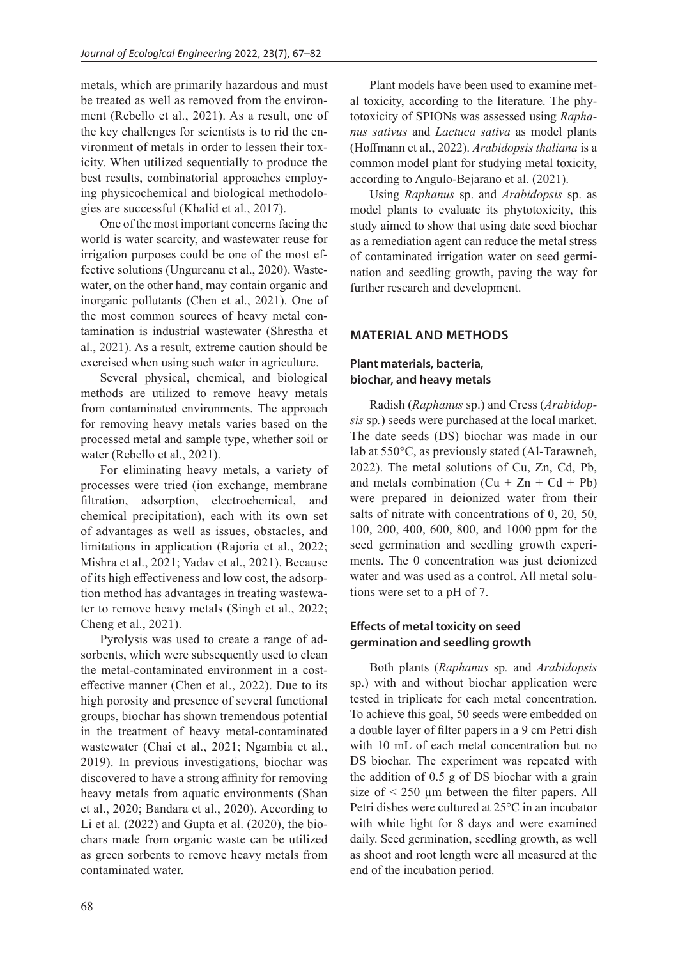metals, which are primarily hazardous and must be treated as well as removed from the environment (Rebello et al., 2021). As a result, one of the key challenges for scientists is to rid the environment of metals in order to lessen their toxicity. When utilized sequentially to produce the best results, combinatorial approaches employing physicochemical and biological methodologies are successful (Khalid et al., 2017).

One of the most important concerns facing the world is water scarcity, and wastewater reuse for irrigation purposes could be one of the most effective solutions (Ungureanu et al., 2020). Wastewater, on the other hand, may contain organic and inorganic pollutants (Chen et al., 2021). One of the most common sources of heavy metal contamination is industrial wastewater (Shrestha et al., 2021). As a result, extreme caution should be exercised when using such water in agriculture.

Several physical, chemical, and biological methods are utilized to remove heavy metals from contaminated environments. The approach for removing heavy metals varies based on the processed metal and sample type, whether soil or water (Rebello et al., 2021).

For eliminating heavy metals, a variety of processes were tried (ion exchange, membrane filtration, adsorption, electrochemical, and chemical precipitation), each with its own set of advantages as well as issues, obstacles, and limitations in application (Rajoria et al., 2022; Mishra et al., 2021; Yadav et al., 2021). Because of its high effectiveness and low cost, the adsorption method has advantages in treating wastewater to remove heavy metals (Singh et al., 2022; Cheng et al., 2021).

Pyrolysis was used to create a range of adsorbents, which were subsequently used to clean the metal-contaminated environment in a costeffective manner (Chen et al., 2022). Due to its high porosity and presence of several functional groups, biochar has shown tremendous potential in the treatment of heavy metal-contaminated wastewater (Chai et al., 2021; Ngambia et al., 2019). In previous investigations, biochar was discovered to have a strong affinity for removing heavy metals from aquatic environments (Shan et al., 2020; Bandara et al., 2020). According to Li et al. (2022) and Gupta et al. (2020), the biochars made from organic waste can be utilized as green sorbents to remove heavy metals from contaminated water.

Plant models have been used to examine metal toxicity, according to the literature. The phytotoxicity of SPIONs was assessed using *Raphanus sativus* and *Lactuca sativa* as model plants (Hoffmann et al., 2022). *Arabidopsis thaliana* is a common model plant for studying metal toxicity, according to Angulo-Bejarano et al. (2021).

Using *Raphanus* sp. and *Arabidopsis* sp. as model plants to evaluate its phytotoxicity, this study aimed to show that using date seed biochar as a remediation agent can reduce the metal stress of contaminated irrigation water on seed germination and seedling growth, paving the way for further research and development.

## **MATERIAL AND METHODS**

## **Plant materials, bacteria, biochar, and heavy metals**

Radish (*Raphanus* sp.) and Cress (*Arabidopsis* sp*.*) seeds were purchased at the local market. The date seeds (DS) biochar was made in our lab at 550°C, as previously stated (Al-Tarawneh, 2022). The metal solutions of Cu, Zn, Cd, Pb, and metals combination  $(Cu + Zn + Cd + Pb)$ were prepared in deionized water from their salts of nitrate with concentrations of 0, 20, 50, 100, 200, 400, 600, 800, and 1000 ppm for the seed germination and seedling growth experiments. The 0 concentration was just deionized water and was used as a control. All metal solutions were set to a pH of 7.

## **Effects of metal toxicity on seed germination and seedling growth**

Both plants (*Raphanus* sp*.* and *Arabidopsis*  sp.) with and without biochar application were tested in triplicate for each metal concentration. To achieve this goal, 50 seeds were embedded on a double layer of filter papers in a 9 cm Petri dish with 10 mL of each metal concentration but no DS biochar. The experiment was repeated with the addition of 0.5 g of DS biochar with a grain size of  $\leq$  250 µm between the filter papers. All Petri dishes were cultured at 25°C in an incubator with white light for 8 days and were examined daily. Seed germination, seedling growth, as well as shoot and root length were all measured at the end of the incubation period.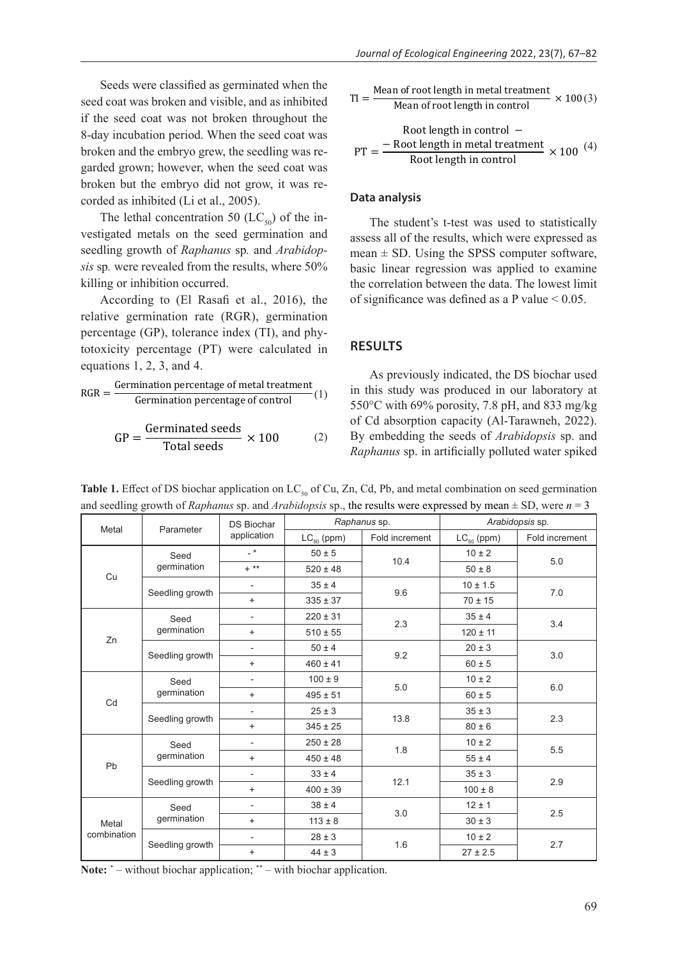Seeds were classified as germinated when the seed coat was broken and visible, and as inhibited if the seed coat was not broken throughout the 8-day incubation period. When the seed coat was broken and the embryo grew, the seedling was regarded grown; however, when the seed coat was broken but the embryo did not grow, it was recorded as inhibited (Li et al., 2005).

The lethal concentration 50 ( $LC_{50}$ ) of the investigated metals on the seed germination and seedling growth of *Raphanus* sp*.* and *Arabidopsis* sp*.* were revealed from the results, where 50% killing or inhibition occurred.

According to (El Rasafi et al., 2016), the relative germination rate (RGR), germination percentage (GP), tolerance index (TI), and phytotoxicity percentage (PT) were calculated in equations  $1, 2, 3$ , and  $4$ .

$$
RGR = \frac{Germanation percentage of metal treatment}{Germanation percentage of control} (1)
$$

$$
GP = \frac{Germanated seeds}{Total seeds} \times 100
$$
 (2)

 $\alpha$  otal secus

$$
TI = \frac{\text{Mean of root length in metal treatment}}{\text{Mean of root length in control}} \times 100(3)
$$
  
Root length in control –  

$$
PT = \frac{-\text{Root length in metal treatment}}{\text{Root length in control}} \times 100^{(4)}
$$

#### **Data analysis**

The student's t-test was used to statistically assess all of the results, which were expressed as mean  $\pm$  SD. Using the SPSS computer software, basic linear regression was applied to examine the correlation between the data. The lowest limit of significance was defined as a P value  $< 0.05$ .

### **RESULTS**

As previously indicated, the DS biochar used in this study was produced in our laboratory at 550°C with 69% porosity, 7.8 pH, and 833 mg/kg of Cd absorption capacity (Al-Tarawneh, 2022). By embedding the seeds of *Arabidopsis* sp. and *Raphanus* sp. in artificially polluted water spiked

|                      |                     | <b>DS Biochar</b>        |                 | Raphanus sp.   | Arabidopsis sp. |                |  |
|----------------------|---------------------|--------------------------|-----------------|----------------|-----------------|----------------|--|
| Metal                | Parameter           | application              | $LC_{50}$ (ppm) | Fold increment | $LC_{50}$ (ppm) | Fold increment |  |
|                      | Seed                | $-$ *                    | $50 \pm 5$      | 10.4           | $10 \pm 2$      | 5.0            |  |
|                      | germination         | $+$ **                   | $520 \pm 48$    |                | $50 \pm 8$      |                |  |
| Cu                   |                     | $\overline{\phantom{a}}$ | $35 \pm 4$      | 9.6            | $10 \pm 1.5$    | 7.0            |  |
|                      | Seedling growth     | $+$                      | $335 \pm 37$    |                | $70 \pm 15$     |                |  |
| Zn                   | Seed<br>germination |                          | $220 \pm 31$    | 2.3            | $35 \pm 4$      | 3.4            |  |
|                      |                     | $+$                      | $510 \pm 55$    |                | $120 \pm 11$    |                |  |
|                      | Seedling growth     |                          | $50 \pm 4$      | 9.2            | $20 \pm 3$      | 3.0            |  |
|                      |                     | $+$                      | $460 \pm 41$    |                | $60 \pm 5$      |                |  |
|                      | Seed<br>germination | $\overline{\phantom{a}}$ | $100 \pm 9$     | 5.0            | $10 \pm 2$      | 6.0            |  |
|                      |                     | $+$                      | $495 \pm 51$    |                | $60 \pm 5$      |                |  |
| Cd                   | Seedling growth     |                          | $25 \pm 3$      |                | $35 \pm 3$      | 2.3            |  |
|                      |                     | $+$                      | $345 \pm 25$    | 13.8           | $80 \pm 6$      |                |  |
|                      | Seed<br>germination |                          | $250 \pm 28$    | 1.8            | $10 \pm 2$      | 5.5            |  |
|                      |                     | $\ddot{}$                | $450 \pm 48$    |                | $55 \pm 4$      |                |  |
| Pb                   | Seedling growth     |                          | $33 \pm 4$      | 12.1           | $35 \pm 3$      | 2.9            |  |
|                      |                     | $+$                      | $400 \pm 39$    |                | $100 \pm 8$     |                |  |
| Metal<br>combination | Seed<br>germination | $\overline{\phantom{a}}$ | $38 \pm 4$      | 3.0            | $12 \pm 1$      | 2.5            |  |
|                      |                     | $+$                      | $113 \pm 8$     |                | $30 \pm 3$      |                |  |
|                      |                     | $\overline{\phantom{a}}$ | $28 \pm 3$      | 1.6            | $10 \pm 2$      | 2.7            |  |
|                      | Seedling growth     | $\ddot{}$                | $44 \pm 3$      |                | $27 \pm 2.5$    |                |  |

and seedling growth of *Raphanus* sp. and *Arabidopsis* sp., the results were expressed by mean  $\pm$  SD, were  $n = 3$ **Table 1.** Effect of DS biochar application on LC<sub>50</sub> of Cu, Zn, Cd, Pb, and metal combination on seed germination

Note: \* – without biochar application; \*\* – with biochar application.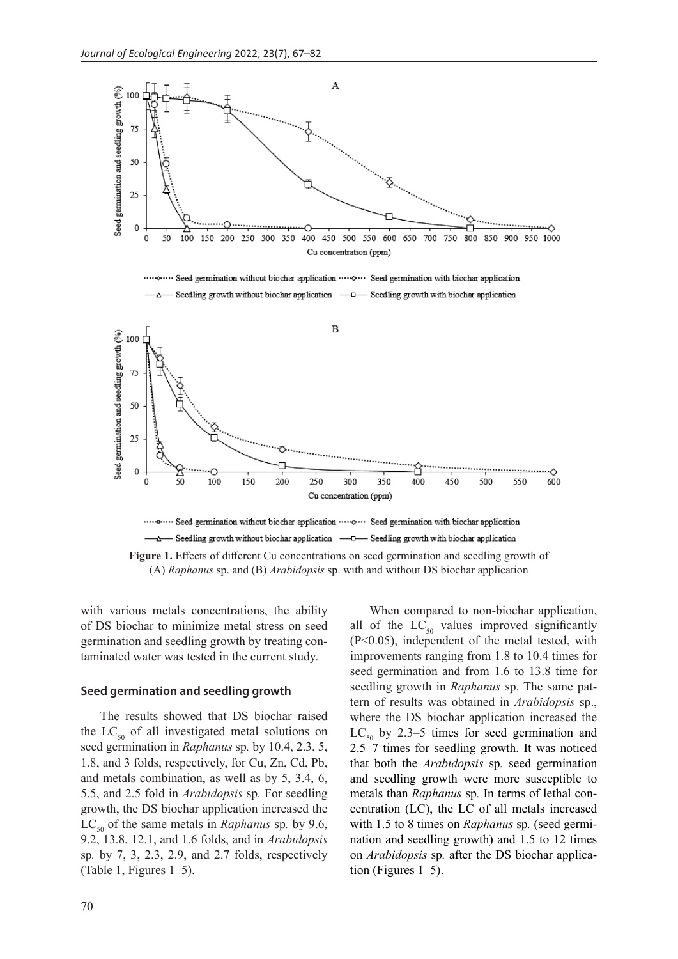

with various metals concentrations, the ability of DS biochar to minimize metal stress on seed germination and seedling growth by treating contaminated water was tested in the current study.

#### **Seed germination and seedling growth**

The results showed that DS biochar raised the  $LC_{50}$  of all investigated metal solutions on seed germination in *Raphanus* sp*.* by 10.4, 2.3, 5, 1.8, and 3 folds, respectively, for Cu, Zn, Cd, Pb, and metals combination, as well as by 5, 3.4, 6, 5.5, and 2.5 fold in *Arabidopsis* sp*.* For seedling growth, the DS biochar application increased the  $LC_{50}$  of the same metals in *Raphanus* sp. by 9.6, 9.2, 13.8, 12.1, and 1.6 folds, and in *Arabidopsis*  sp*.* by 7, 3, 2.3, 2.9, and 2.7 folds, respectively (Table 1, Figures 1–5).

When compared to non-biochar application, all of the  $LC_{50}$  values improved significantly (P<0.05), independent of the metal tested, with improvements ranging from 1.8 to 10.4 times for seed germination and from 1.6 to 13.8 time for seedling growth in *Raphanus* sp. The same pattern of results was obtained in *Arabidopsis* sp., where the DS biochar application increased the  $LC_{50}$  by 2.3–5 times for seed germination and 2.5–7 times for seedling growth. It was noticed that both the *Arabidopsis* sp*.* seed germination and seedling growth were more susceptible to metals than *Raphanus* sp*.* In terms of lethal concentration (LC), the LC of all metals increased with 1.5 to 8 times on *Raphanus* sp*.* (seed germination and seedling growth) and 1.5 to 12 times on *Arabidopsis* sp*.* after the DS biochar application (Figures 1–5).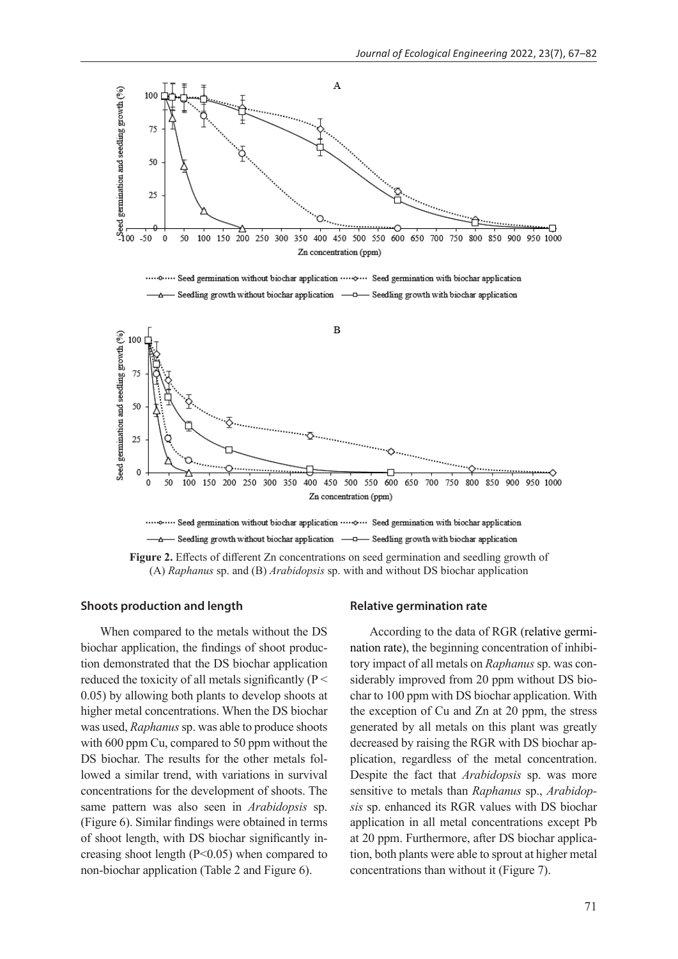

· Seed germination without biochar application ····· Seed germination with biochar application 



**Figure 2.** Effects of different Zn concentrations on seed germination and seedling growth of (A) *Raphanus* sp. and (B) *Arabidopsis* sp. with and without DS biochar application

#### **Shoots production and length**

When compared to the metals without the DS biochar application, the findings of shoot production demonstrated that the DS biochar application reduced the toxicity of all metals significantly ( $P \leq$ 0.05) by allowing both plants to develop shoots at higher metal concentrations. When the DS biochar was used, *Raphanus* sp. was able to produce shoots with 600 ppm Cu, compared to 50 ppm without the DS biochar. The results for the other metals followed a similar trend, with variations in survival concentrations for the development of shoots. The same pattern was also seen in *Arabidopsis* sp. (Figure 6). Similar findings were obtained in terms of shoot length, with DS biochar significantly increasing shoot length (P<0.05) when compared to non-biochar application (Table 2 and Figure 6).

#### **Relative germination rate**

According to the data of RGR (relative germination rate), the beginning concentration of inhibitory impact of all metals on *Raphanus* sp. was considerably improved from 20 ppm without DS biochar to 100 ppm with DS biochar application. With the exception of Cu and Zn at 20 ppm, the stress generated by all metals on this plant was greatly decreased by raising the RGR with DS biochar application, regardless of the metal concentration. Despite the fact that *Arabidopsis* sp. was more sensitive to metals than *Raphanus* sp., *Arabidopsis* sp. enhanced its RGR values with DS biochar application in all metal concentrations except Pb at 20 ppm. Furthermore, after DS biochar application, both plants were able to sprout at higher metal concentrations than without it (Figure 7).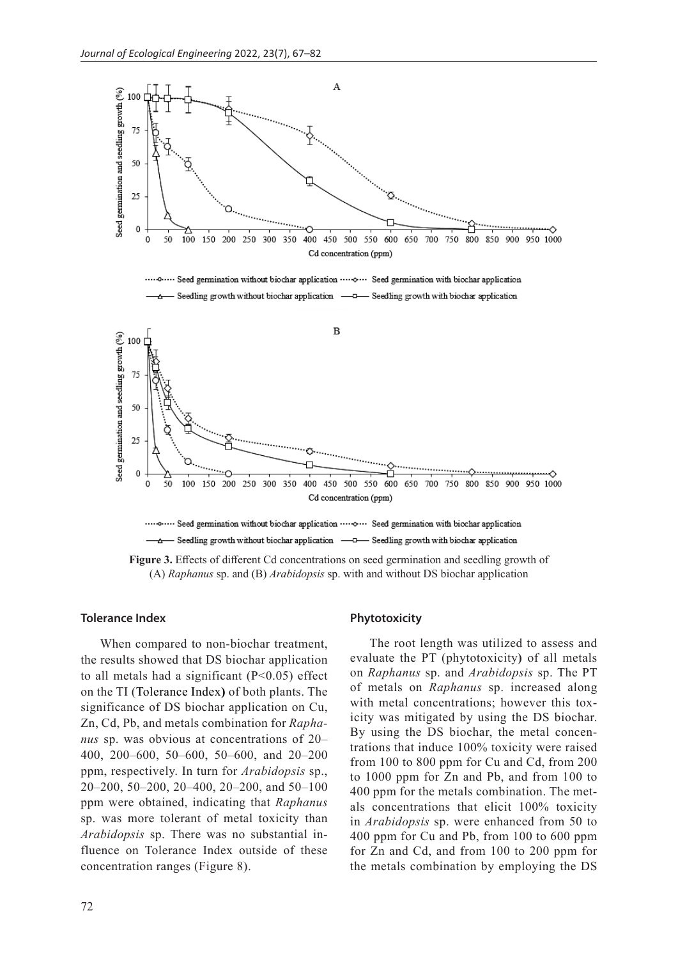

**Figure 3.** Effects of different Cd concentrations on seed germination and seedling growth of (A) *Raphanus* sp. and (B) *Arabidopsis* sp. with and without DS biochar application

## **Tolerance Index**

When compared to non-biochar treatment, the results showed that DS biochar application to all metals had a significant  $(P<0.05)$  effect on the TI (Tolerance Index**)** of both plants. The significance of DS biochar application on Cu, Zn, Cd, Pb, and metals combination for *Raphanus* sp. was obvious at concentrations of 20– 400, 200–600, 50–600, 50–600, and 20–200 ppm, respectively. In turn for *Arabidopsis* sp., 20–200, 50–200, 20–400, 20–200, and 50–100 ppm were obtained, indicating that *Raphanus*  sp. was more tolerant of metal toxicity than *Arabidopsis* sp. There was no substantial influence on Tolerance Index outside of these concentration ranges (Figure 8).

#### **Phytotoxicity**

The root length was utilized to assess and evaluate the PT (phytotoxicity**)** of all metals on *Raphanus* sp. and *Arabidopsis* sp. The PT of metals on *Raphanus* sp. increased along with metal concentrations; however this toxicity was mitigated by using the DS biochar. By using the DS biochar, the metal concentrations that induce 100% toxicity were raised from 100 to 800 ppm for Cu and Cd, from 200 to 1000 ppm for Zn and Pb, and from 100 to 400 ppm for the metals combination. The metals concentrations that elicit 100% toxicity in *Arabidopsis* sp. were enhanced from 50 to 400 ppm for Cu and Pb, from 100 to 600 ppm for Zn and Cd, and from 100 to 200 ppm for the metals combination by employing the DS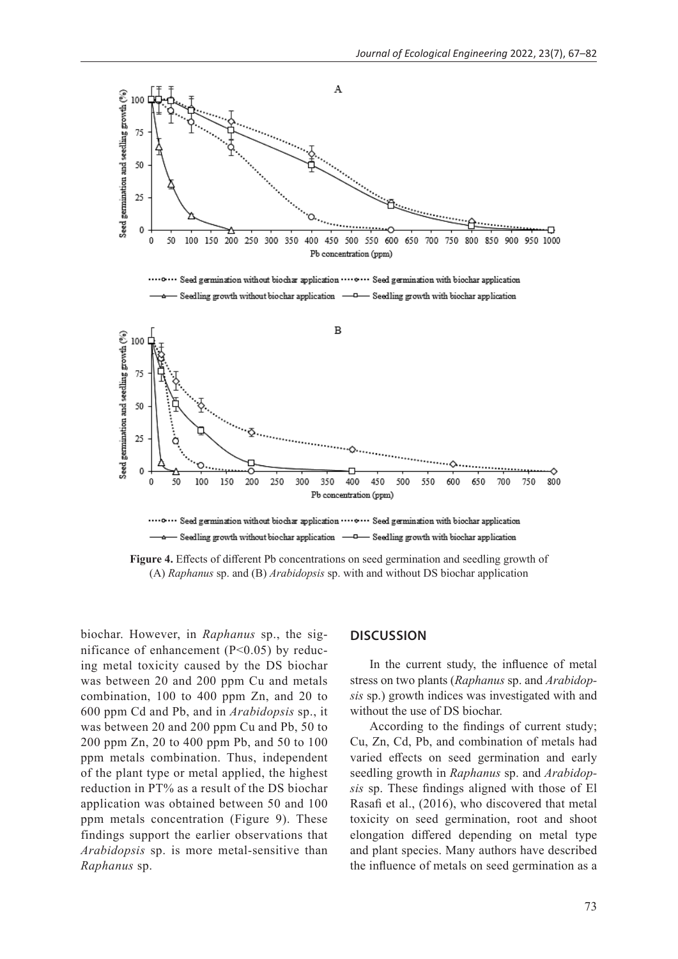

**Figure 4.** Effects of different Pb concentrations on seed germination and seedling growth of (A) *Raphanus* sp. and (B) *Arabidopsis* sp. with and without DS biochar application

biochar. However, in *Raphanus* sp., the significance of enhancement  $(P<0.05)$  by reducing metal toxicity caused by the DS biochar was between 20 and 200 ppm Cu and metals combination, 100 to 400 ppm Zn, and 20 to 600 ppm Cd and Pb, and in *Arabidopsis* sp., it was between 20 and 200 ppm Cu and Pb, 50 to 200 ppm Zn, 20 to 400 ppm Pb, and 50 to 100 ppm metals combination. Thus, independent of the plant type or metal applied, the highest reduction in PT% as a result of the DS biochar application was obtained between 50 and 100 ppm metals concentration (Figure 9). These findings support the earlier observations that *Arabidopsis* sp. is more metal-sensitive than *Raphanus* sp.

#### **DISCUSSION**

In the current study, the influence of metal stress on two plants (*Raphanus* sp. and *Arabidopsis* sp.) growth indices was investigated with and without the use of DS biochar.

According to the findings of current study; Cu, Zn, Cd, Pb, and combination of metals had varied effects on seed germination and early seedling growth in *Raphanus* sp. and *Arabidopsis* sp. These findings aligned with those of El Rasafi et al., (2016), who discovered that metal toxicity on seed germination, root and shoot elongation differed depending on metal type and plant species. Many authors have described the influence of metals on seed germination as a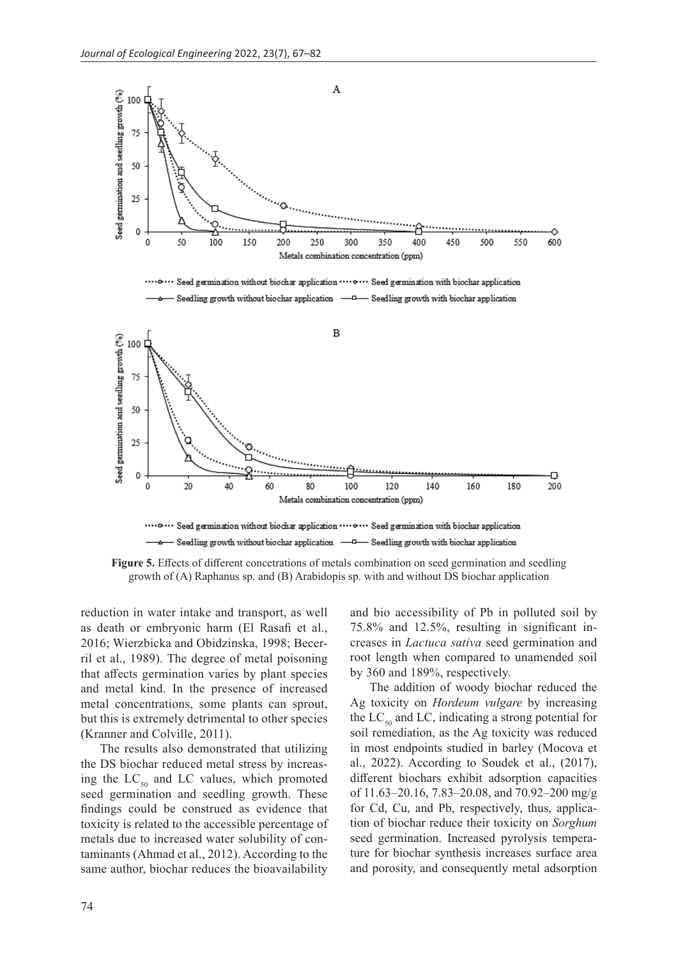

**Figure 5.** Effects of different concetrations of metals combination on seed germination and seedling growth of (A) Raphanus sp. and (B) Arabidopis sp. with and without DS biochar application

reduction in water intake and transport, as well as death or embryonic harm (El Rasafi et al., 2016; Wierzbicka and Obidzinska, 1998; Becerril et al., 1989). The degree of metal poisoning that affects germination varies by plant species and metal kind. In the presence of increased metal concentrations, some plants can sprout, but this is extremely detrimental to other species (Kranner and Colville, 2011).

The results also demonstrated that utilizing the DS biochar reduced metal stress by increasing the  $LC_{50}$  and LC values, which promoted seed germination and seedling growth. These findings could be construed as evidence that toxicity is related to the accessible percentage of metals due to increased water solubility of contaminants (Ahmad et al., 2012). According to the same author, biochar reduces the bioavailability and bio accessibility of Pb in polluted soil by 75.8% and 12.5%, resulting in significant increases in *Lactuca sativa* seed germination and root length when compared to unamended soil by 360 and 189%, respectively.

The addition of woody biochar reduced the Ag toxicity on *Hordeum vulgare* by increasing the  $LC_{50}$  and LC, indicating a strong potential for soil remediation, as the Ag toxicity was reduced in most endpoints studied in barley (Mocova et al., 2022). According to Soudek et al., (2017), different biochars exhibit adsorption capacities of 11.63–20.16, 7.83–20.08, and 70.92–200 mg/g for Cd, Cu, and Pb, respectively, thus, application of biochar reduce their toxicity on *Sorghum* seed germination. Increased pyrolysis temperature for biochar synthesis increases surface area and porosity, and consequently metal adsorption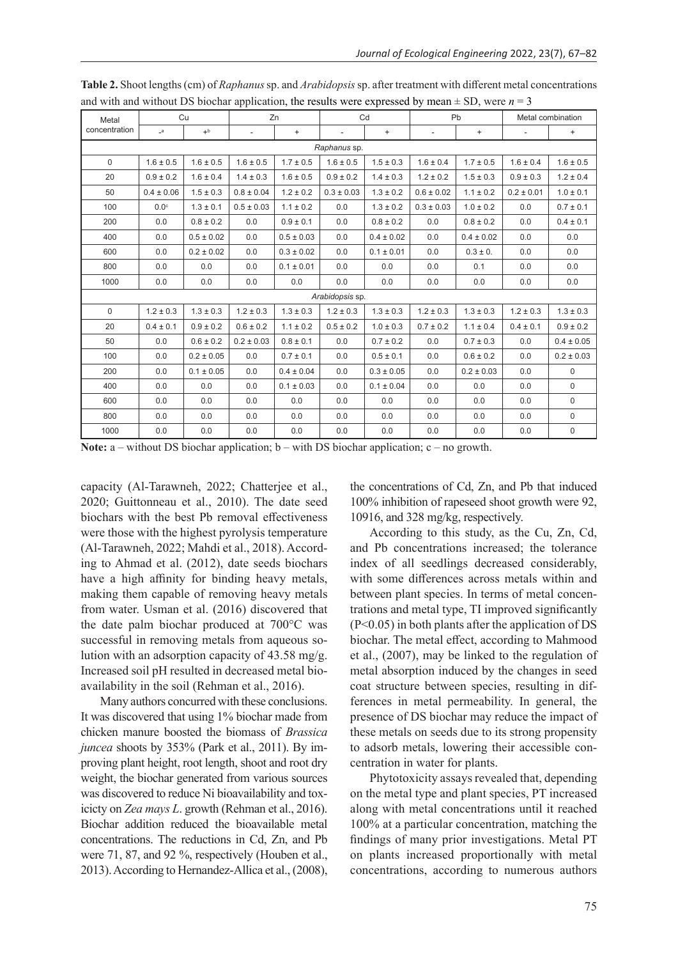| Metal<br>concentration | Cu             |                | Zn                       |                | Cd                       |                | Pb                       |                | Metal combination        |                |  |  |  |
|------------------------|----------------|----------------|--------------------------|----------------|--------------------------|----------------|--------------------------|----------------|--------------------------|----------------|--|--|--|
|                        | $_a$           | $+^{\rm b}$    | $\overline{\phantom{a}}$ | $+$            | $\overline{\phantom{0}}$ | $\ddot{}$      | $\overline{\phantom{a}}$ | $+$            | $\overline{\phantom{a}}$ | $\ddot{}$      |  |  |  |
| Raphanus sp.           |                |                |                          |                |                          |                |                          |                |                          |                |  |  |  |
| $\mathbf 0$            | $1.6 \pm 0.5$  | $1.6 \pm 0.5$  | $1.6 \pm 0.5$            | $1.7 \pm 0.5$  | $1.6 \pm 0.5$            | $1.5 \pm 0.3$  | $1.6 \pm 0.4$            | $1.7 \pm 0.5$  | $1.6 \pm 0.4$            | $1.6 \pm 0.5$  |  |  |  |
| 20                     | $0.9 \pm 0.2$  | $1.6 \pm 0.4$  | $1.4 \pm 0.3$            | $1.6 \pm 0.5$  | $0.9 \pm 0.2$            | $1.4 \pm 0.3$  | $1.2 \pm 0.2$            | $1.5 \pm 0.3$  | $0.9 \pm 0.3$            | $1.2 \pm 0.4$  |  |  |  |
| 50                     | $0.4 \pm 0.06$ | $1.5 \pm 0.3$  | $0.8 \pm 0.04$           | $1.2 \pm 0.2$  | $0.3 \pm 0.03$           | $1.3 \pm 0.2$  | $0.6 \pm 0.02$           | $1.1 \pm 0.2$  | $0.2 \pm 0.01$           | $1.0 \pm 0.1$  |  |  |  |
| 100                    | $0.0^\circ$    | $1.3 \pm 0.1$  | $0.5 \pm 0.03$           | $1.1 \pm 0.2$  | 0.0                      | $1.3 \pm 0.2$  | $0.3 \pm 0.03$           | $1.0 \pm 0.2$  | 0.0                      | $0.7 \pm 0.1$  |  |  |  |
| 200                    | 0.0            | $0.8 \pm 0.2$  | 0.0                      | $0.9 \pm 0.1$  | 0.0                      | $0.8 \pm 0.2$  | 0.0                      | $0.8 \pm 0.2$  | 0.0                      | $0.4 \pm 0.1$  |  |  |  |
| 400                    | 0.0            | $0.5 \pm 0.02$ | 0.0                      | $0.5 \pm 0.03$ | 0.0                      | $0.4 \pm 0.02$ | 0.0                      | $0.4 \pm 0.02$ | 0.0                      | 0.0            |  |  |  |
| 600                    | 0.0            | $0.2 \pm 0.02$ | 0.0                      | $0.3 \pm 0.02$ | 0.0                      | $0.1 \pm 0.01$ | 0.0                      | $0.3 \pm 0.$   | 0.0                      | 0.0            |  |  |  |
| 800                    | 0.0            | 0.0            | 0.0                      | $0.1 \pm 0.01$ | 0.0                      | 0.0            | 0.0                      | 0.1            | 0.0                      | 0.0            |  |  |  |
| 1000                   | 0.0            | 0.0            | 0.0                      | 0.0            | 0.0                      | 0.0            | 0.0                      | 0.0            | 0.0                      | 0.0            |  |  |  |
| Arabidopsis sp.        |                |                |                          |                |                          |                |                          |                |                          |                |  |  |  |
| $\mathbf 0$            | $1.2 \pm 0.3$  | $1.3 \pm 0.3$  | $1.2 \pm 0.3$            | $1.3 \pm 0.3$  | $1.2 \pm 0.3$            | $1.3 \pm 0.3$  | $1.2 \pm 0.3$            | $1.3 \pm 0.3$  | $1.2 \pm 0.3$            | $1.3 \pm 0.3$  |  |  |  |
| 20                     | $0.4 \pm 0.1$  | $0.9 \pm 0.2$  | $0.6 \pm 0.2$            | $1.1 \pm 0.2$  | $0.5 \pm 0.2$            | $1.0 \pm 0.3$  | $0.7 \pm 0.2$            | $1.1 \pm 0.4$  | $0.4 \pm 0.1$            | $0.9 \pm 0.2$  |  |  |  |
| 50                     | 0.0            | $0.6 \pm 0.2$  | $0.2 \pm 0.03$           | $0.8 \pm 0.1$  | 0.0                      | $0.7 \pm 0.2$  | 0.0                      | $0.7 \pm 0.3$  | 0.0                      | $0.4 \pm 0.05$ |  |  |  |
| 100                    | 0.0            | $0.2 \pm 0.05$ | 0.0                      | $0.7 \pm 0.1$  | 0.0                      | $0.5 \pm 0.1$  | 0.0                      | $0.6 \pm 0.2$  | 0.0                      | $0.2 \pm 0.03$ |  |  |  |
| 200                    | 0.0            | $0.1 \pm 0.05$ | 0.0                      | $0.4 \pm 0.04$ | 0.0                      | $0.3 \pm 0.05$ | 0.0                      | $0.2 \pm 0.03$ | 0.0                      | $\mathbf 0$    |  |  |  |
| 400                    | 0.0            | 0.0            | 0.0                      | $0.1 \pm 0.03$ | 0.0                      | $0.1 \pm 0.04$ | 0.0                      | 0.0            | 0.0                      | 0              |  |  |  |
| 600                    | 0.0            | 0.0            | 0.0                      | 0.0            | 0.0                      | 0.0            | 0.0                      | 0.0            | 0.0                      | $\mathbf 0$    |  |  |  |
| 800                    | 0.0            | 0.0            | 0.0                      | 0.0            | 0.0                      | 0.0            | 0.0                      | 0.0            | 0.0                      | $\mathsf 0$    |  |  |  |
| 1000                   | 0.0            | 0.0            | 0.0                      | 0.0            | 0.0                      | 0.0            | 0.0                      | 0.0            | 0.0                      | $\mathbf 0$    |  |  |  |

**Table 2.** Shoot lengths (cm) of *Raphanus* sp. and *Arabidopsis* sp. after treatment with different metal concentrations and with and without DS biochar application, the results were expressed by mean  $\pm$  SD, were  $n = 3$ 

Note: a – without DS biochar application; b – with DS biochar application; c – no growth.

capacity (Al-Tarawneh, 2022; Chatterjee et al., 2020; Guittonneau et al., 2010). The date seed biochars with the best Pb removal effectiveness were those with the highest pyrolysis temperature (Al-Tarawneh, 2022; Mahdi et al., 2018). According to Ahmad et al. (2012), date seeds biochars have a high affinity for binding heavy metals, making them capable of removing heavy metals from water. Usman et al. (2016) discovered that the date palm biochar produced at 700°C was successful in removing metals from aqueous solution with an adsorption capacity of  $43.58 \text{ mg/g}$ . Increased soil pH resulted in decreased metal bioavailability in the soil (Rehman et al., 2016).

Many authors concurred with these conclusions. It was discovered that using 1% biochar made from chicken manure boosted the biomass of *Brassica juncea* shoots by 353% (Park et al., 2011). By improving plant height, root length, shoot and root dry weight, the biochar generated from various sources was discovered to reduce Ni bioavailability and toxicicty on *Zea mays L*. growth (Rehman et al., 2016). Biochar addition reduced the bioavailable metal concentrations. The reductions in Cd, Zn, and Pb were 71, 87, and 92 %, respectively (Houben et al., 2013). According to Hernandez-Allica et al., (2008), the concentrations of Cd, Zn, and Pb that induced 100% inhibition of rapeseed shoot growth were 92, 10916, and 328 mg/kg, respectively.

According to this study, as the Cu, Zn, Cd, and Pb concentrations increased; the tolerance index of all seedlings decreased considerably, with some differences across metals within and between plant species. In terms of metal concentrations and metal type, TI improved significantly (P<0.05) in both plants after the application of DS biochar. The metal effect, according to Mahmood et al., (2007), may be linked to the regulation of metal absorption induced by the changes in seed coat structure between species, resulting in differences in metal permeability. In general, the presence of DS biochar may reduce the impact of these metals on seeds due to its strong propensity to adsorb metals, lowering their accessible concentration in water for plants.

Phytotoxicity assays revealed that, depending on the metal type and plant species, PT increased along with metal concentrations until it reached 100% at a particular concentration, matching the findings of many prior investigations. Metal PT on plants increased proportionally with metal concentrations, according to numerous authors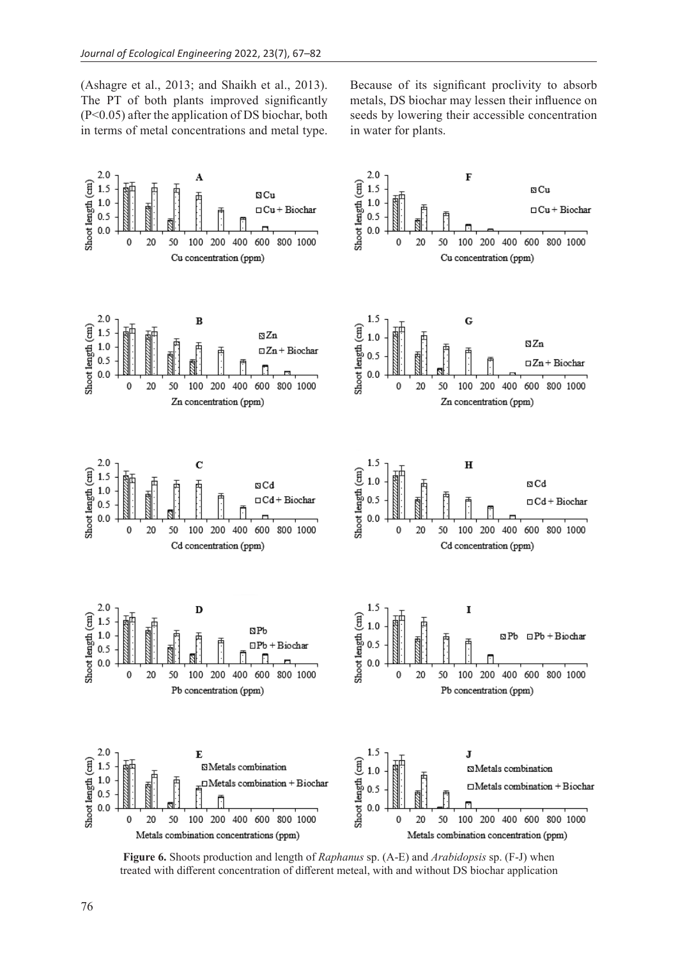(Ashagre et al., 2013; and Shaikh et al., 2013). The PT of both plants improved significantly (P<0.05) after the application of DS biochar, both in terms of metal concentrations and metal type.

Because of its significant proclivity to absorb metals, DS biochar may lessen their influence on seeds by lowering their accessible concentration in water for plants.



**Figure 6.** Shoots production and length of *Raphanus* sp. (A-E) and *Arabidopsis* sp. (F-J) when treated with different concentration of different meteal, with and without DS biochar application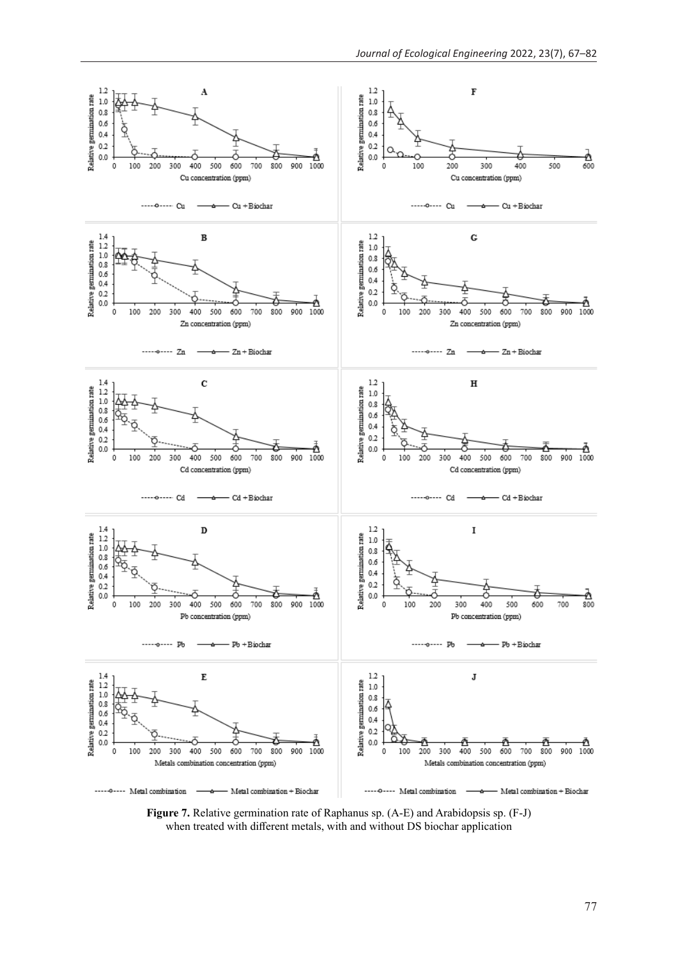

**Figure 7.** Relative germination rate of Raphanus sp. (A-E) and Arabidopsis sp. (F-J) when treated with different metals, with and without DS biochar application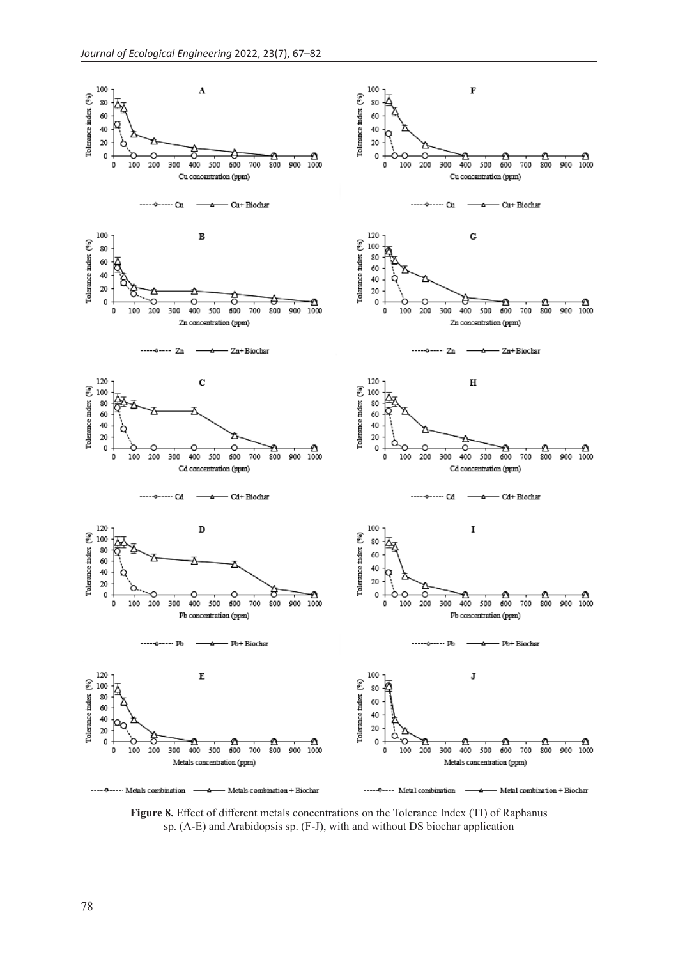

**Figure 8.** Effect of different metals concentrations on the Tolerance Index (TI) of Raphanus sp. (A-E) and Arabidopsis sp. (F-J), with and without DS biochar application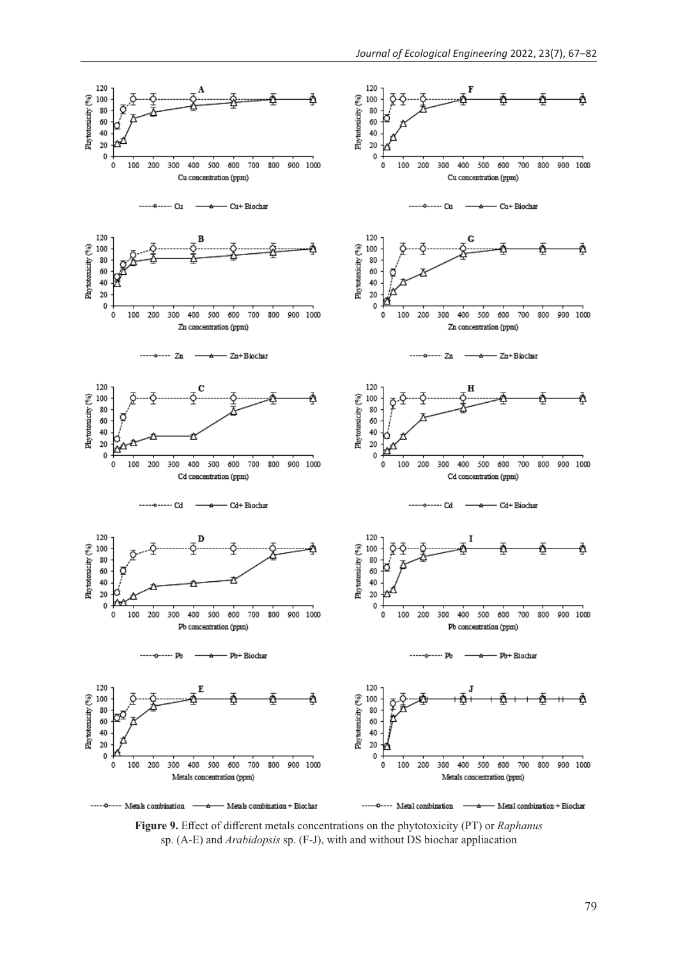

**Figure 9.** Effect of different metals concentrations on the phytotoxicity (PT) or *Raphanus* sp. (A-E) and *Arabidopsis* sp. (F-J), with and without DS biochar appliacation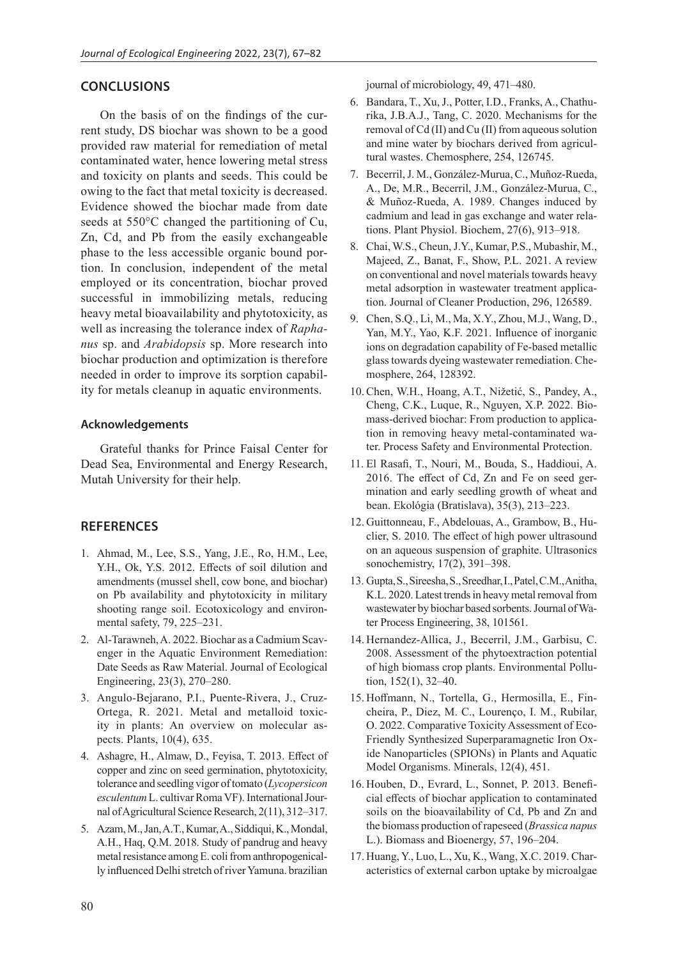## **CONCLUSIONS**

On the basis of on the findings of the current study, DS biochar was shown to be a good provided raw material for remediation of metal contaminated water, hence lowering metal stress and toxicity on plants and seeds. This could be owing to the fact that metal toxicity is decreased. Evidence showed the biochar made from date seeds at 550°C changed the partitioning of Cu, Zn, Cd, and Pb from the easily exchangeable phase to the less accessible organic bound portion. In conclusion, independent of the metal employed or its concentration, biochar proved successful in immobilizing metals, reducing heavy metal bioavailability and phytotoxicity, as well as increasing the tolerance index of *Raphanus* sp. and *Arabidopsis* sp. More research into biochar production and optimization is therefore needed in order to improve its sorption capability for metals cleanup in aquatic environments.

## **Acknowledgements**

Grateful thanks for Prince Faisal Center for Dead Sea, Environmental and Energy Research, Mutah University for their help.

## **REFERENCES**

- 1. Ahmad, M., Lee, S.S., Yang, J.E., Ro, H.M., Lee, Y.H., Ok, Y.S. 2012. Effects of soil dilution and amendments (mussel shell, cow bone, and biochar) on Pb availability and phytotoxicity in military shooting range soil. Ecotoxicology and environmental safety, 79, 225–231.
- 2. Al-Tarawneh, A. 2022. Biochar as a Cadmium Scavenger in the Aquatic Environment Remediation: Date Seeds as Raw Material. Journal of Ecological Engineering, 23(3), 270–280.
- 3. Angulo-Bejarano, P.I., Puente-Rivera, J., Cruz-Ortega, R. 2021. Metal and metalloid toxicity in plants: An overview on molecular aspects. Plants, 10(4), 635.
- 4. Ashagre, H., Almaw, D., Feyisa, T. 2013. Effect of copper and zinc on seed germination, phytotoxicity, tolerance and seedling vigor of tomato (*Lycopersicon*  esculentum L. cultivar Roma VF). International Journal of Agricultural Science Research, 2(11), 312–317.
- 5. Azam, M., Jan, A.T., Kumar, A., Siddiqui, K., Mondal, A.H., Haq, Q.M. 2018. Study of pandrug and heavy metal resistance among E. coli from anthropogenically influenced Delhi stretch of river Yamuna. brazilian

journal of microbiology, 49, 471–480.

- 6. Bandara, T., Xu, J., Potter, I.D., Franks, A., Chathurika, J.B.A.J., Tang, C. 2020. Mechanisms for the removal of Cd (II) and Cu (II) from aqueous solution and mine water by biochars derived from agricultural wastes. Chemosphere, 254, 126745.
- 7. Becerril, J. M., González-Murua, C., Muñoz-Rueda, A., De, M.R., Becerril, J.M., González-Murua, C., & Muñoz-Rueda, A. 1989. Changes induced by cadmium and lead in gas exchange and water relations. Plant Physiol. Biochem, 27(6), 913–918.
- 8. Chai, W.S., Cheun, J.Y., Kumar, P.S., Mubashir, M., Majeed, Z., Banat, F., Show, P.L. 2021. A review on conventional and novel materials towards heavy metal adsorption in wastewater treatment application. Journal of Cleaner Production, 296, 126589.
- 9. Chen, S.Q., Li, M., Ma, X.Y., Zhou, M.J., Wang, D., Yan, M.Y., Yao, K.F. 2021. Influence of inorganic ions on degradation capability of Fe-based metallic glass towards dyeing wastewater remediation. Chemosphere, 264, 128392.
- 10. Chen, W.H., Hoang, A.T., Nižetić, S., Pandey, A., Cheng, C.K., Luque, R., Nguyen, X.P. 2022. Biomass-derived biochar: From production to application in removing heavy metal-contaminated water. Process Safety and Environmental Protection.
- 11. El Rasafi, T., Nouri, M., Bouda, S., Haddioui, A. 2016. The effect of Cd, Zn and Fe on seed germination and early seedling growth of wheat and bean. Ekológia (Bratislava), 35(3), 213–223.
- 12. Guittonneau, F., Abdelouas, A., Grambow, B., Huclier, S. 2010. The effect of high power ultrasound on an aqueous suspension of graphite. Ultrasonics sonochemistry, 17(2), 391–398.
- 13. Gupta, S., Sireesha, S., Sreedhar, I., Patel, C.M., Anitha, K.L. 2020. Latest trends in heavy metal removal from wastewater by biochar based sorbents.Journal of Water Process Engineering, 38, 101561.
- 14. Hernandez-Allica, J., Becerril, J.M., Garbisu, C. 2008. Assessment of the phytoextraction potential of high biomass crop plants. Environmental Pollution, 152(1), 32–40.
- 15. Hoffmann, N., Tortella, G., Hermosilla, E., Fincheira, P., Diez, M. C., Lourenço, I. M., Rubilar, O. 2022. Comparative Toxicity Assessment of Eco-Friendly Synthesized Superparamagnetic Iron Oxide Nanoparticles (SPIONs) in Plants and Aquatic Model Organisms. Minerals, 12(4), 451.
- 16. Houben, D., Evrard, L., Sonnet, P. 2013. Beneficial effects of biochar application to contaminated soils on the bioavailability of Cd, Pb and Zn and the biomass production of rapeseed (*Brassica napus* L.). Biomass and Bioenergy, 57, 196–204.
- 17. Huang, Y., Luo, L., Xu, K., Wang, X.C. 2019. Characteristics of external carbon uptake by microalgae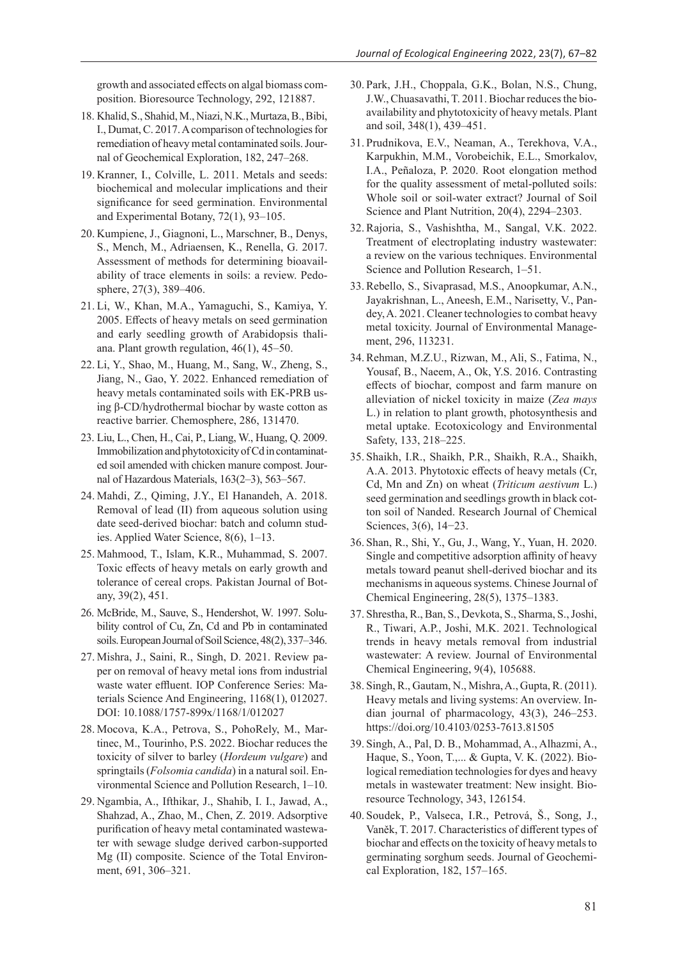growth and associated effects on algal biomass composition. Bioresource Technology, 292, 121887.

- 18. Khalid, S., Shahid, M., Niazi, N.K., Murtaza, B., Bibi, I., Dumat, C. 2017. A comparison of technologies for remediation of heavy metal contaminated soils.Journal of Geochemical Exploration, 182, 247–268.
- 19. Kranner, I., Colville, L. 2011. Metals and seeds: biochemical and molecular implications and their significance for seed germination. Environmental and Experimental Botany, 72(1), 93–105.
- 20. Kumpiene, J., Giagnoni, L., Marschner, B., Denys, S., Mench, M., Adriaensen, K., Renella, G. 2017. Assessment of methods for determining bioavailability of trace elements in soils: a review. Pedosphere, 27(3), 389–406.
- 21. Li, W., Khan, M.A., Yamaguchi, S., Kamiya, Y. 2005. Effects of heavy metals on seed germination and early seedling growth of Arabidopsis thaliana. Plant growth regulation, 46(1), 45–50.
- 22. Li, Y., Shao, M., Huang, M., Sang, W., Zheng, S., Jiang, N., Gao, Y. 2022. Enhanced remediation of heavy metals contaminated soils with EK-PRB using β-CD/hydrothermal biochar by waste cotton as reactive barrier. Chemosphere, 286, 131470.
- 23. Liu, L., Chen, H., Cai, P., Liang, W., Huang, Q. 2009. Immobilization and phytotoxicity of Cd in contaminated soil amended with chicken manure compost. Journal of Hazardous Materials, 163(2–3), 563–567.
- 24. Mahdi, Z., Qiming, J.Y., El Hanandeh, A. 2018. Removal of lead (II) from aqueous solution using date seed-derived biochar: batch and column studies. Applied Water Science, 8(6), 1–13.
- 25. Mahmood, T., Islam, K.R., Muhammad, S. 2007. Toxic effects of heavy metals on early growth and tolerance of cereal crops. Pakistan Journal of Botany, 39(2), 451.
- 26. McBride, M., Sauve, S., Hendershot, W. 1997. Solubility control of Cu, Zn, Cd and Pb in contaminated soils.European Journal of Soil Science,48(2), 337–346.
- 27. Mishra, J., Saini, R., Singh, D. 2021. Review paper on removal of heavy metal ions from industrial waste water effluent. IOP Conference Series: Materials Science And Engineering, 1168(1), 012027. DOI: 10.1088/1757-899x/1168/1/012027
- 28. Mocova, K.A., Petrova, S., PohoRely, M., Martinec, M., Tourinho, P.S. 2022. Biochar reduces the toxicity of silver to barley (*Hordeum vulgare*) and springtails (*Folsomia candida*) in a natural soil. Environmental Science and Pollution Research, 1–10.
- 29. Ngambia, A., Ifthikar, J., Shahib, I. I., Jawad, A., Shahzad, A., Zhao, M., Chen, Z. 2019. Adsorptive purification of heavy metal contaminated wastewater with sewage sludge derived carbon-supported Mg (II) composite. Science of the Total Environment, 691, 306–321.
- 30. Park, J.H., Choppala, G.K., Bolan, N.S., Chung, J.W., Chuasavathi, T. 2011. Biochar reduces the bioavailability and phytotoxicity of heavy metals. Plant and soil, 348(1), 439–451.
- 31. Prudnikova, E.V., Neaman, A., Terekhova, V.A., Karpukhin, M.M., Vorobeichik, E.L., Smorkalov, I.A., Peñaloza, P. 2020. Root elongation method for the quality assessment of metal-polluted soils: Whole soil or soil-water extract? Journal of Soil Science and Plant Nutrition, 20(4), 2294–2303.
- 32.Rajoria, S., Vashishtha, M., Sangal, V.K. 2022. Treatment of electroplating industry wastewater: a review on the various techniques. Environmental Science and Pollution Research, 1–51.
- 33. Rebello, S., Sivaprasad, M.S., Anoopkumar, A.N., Jayakrishnan, L., Aneesh, E.M., Narisetty, V., Pandey, A. 2021. Cleaner technologies to combat heavy metal toxicity. Journal of Environmental Management, 296, 113231.
- 34. Rehman, M.Z.U., Rizwan, M., Ali, S., Fatima, N., Yousaf, B., Naeem, A., Ok, Y.S. 2016. Contrasting effects of biochar, compost and farm manure on alleviation of nickel toxicity in maize (*Zea mays* L.) in relation to plant growth, photosynthesis and metal uptake. Ecotoxicology and Environmental Safety, 133, 218–225.
- 35. Shaikh, I.R., Shaikh, P.R., Shaikh, R.A., Shaikh, A.A. 2013. Phytotoxic effects of heavy metals (Cr, Cd, Mn and Zn) on wheat (*Triticum aestivum* L.) seed germination and seedlings growth in black cotton soil of Nanded. Research Journal of Chemical Sciences, 3(6), 14−23.
- 36. Shan, R., Shi, Y., Gu, J., Wang, Y., Yuan, H. 2020. Single and competitive adsorption affinity of heavy metals toward peanut shell-derived biochar and its mechanisms in aqueous systems. Chinese Journal of Chemical Engineering, 28(5), 1375–1383.
- 37. Shrestha, R., Ban, S., Devkota, S., Sharma, S., Joshi, R., Tiwari, A.P., Joshi, M.K. 2021. Technological trends in heavy metals removal from industrial wastewater: A review. Journal of Environmental Chemical Engineering, 9(4), 105688.
- 38. Singh, R., Gautam, N., Mishra, A., Gupta, R. (2011). Heavy metals and living systems: An overview. Indian journal of pharmacology, 43(3), 246–253. https://doi.org/10.4103/0253-7613.81505
- 39. Singh, A., Pal, D. B., Mohammad, A., Alhazmi, A., Haque, S., Yoon, T.,... & Gupta, V. K. (2022). Biological remediation technologies for dyes and heavy metals in wastewater treatment: New insight. Bioresource Technology, 343, 126154.
- 40. Soudek, P., Valseca, I.R., Petrová, Š., Song, J., Vaněk, T. 2017. Characteristics of different types of biochar and effects on the toxicity of heavy metals to germinating sorghum seeds. Journal of Geochemical Exploration, 182, 157–165.